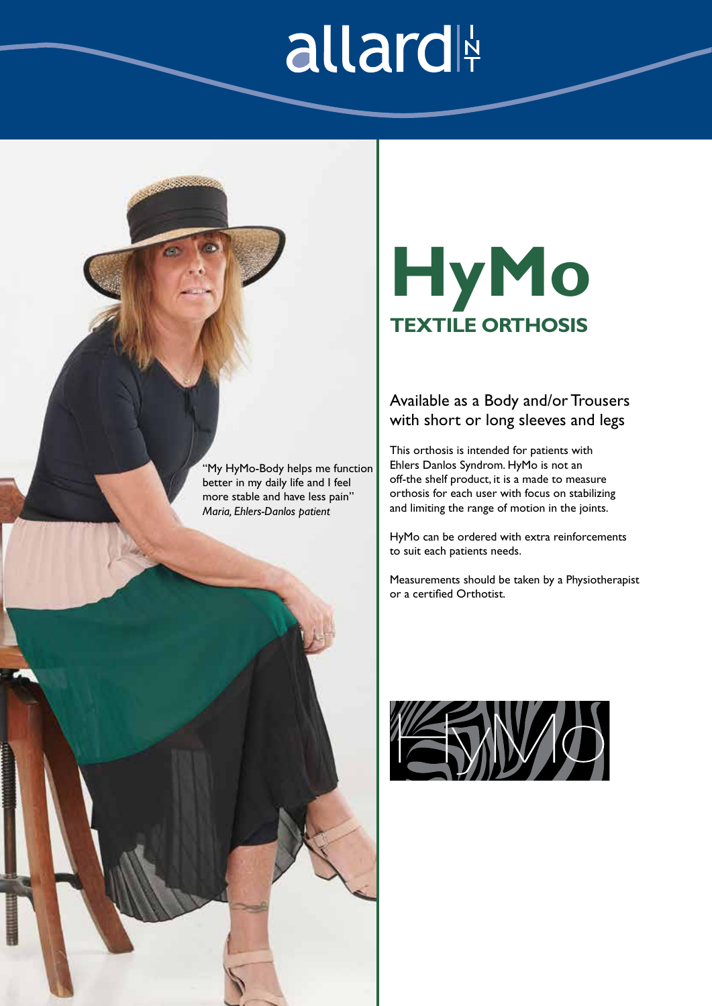## allard

"My HyMo-Body helps me function better in my daily life and I feel more stable and have less pain" *Maria, Ehlers-Danlos patient*

### **HyMo TEXTILE ORTHOSIS**

### Available as a Body and/or Trousers with short or long sleeves and legs

This orthosis is intended for patients with Ehlers Danlos Syndrom. HyMo is not an off-the shelf product, it is a made to measure orthosis for each user with focus on stabilizing and limiting the range of motion in the joints.

HyMo can be ordered with extra reinforcements to suit each patients needs.

Measurements should be taken by a Physiotherapist or a certified Orthotist.



EDS\_Product\_TAG\_HyMo.indd 1 2019-04-17 14:11:00